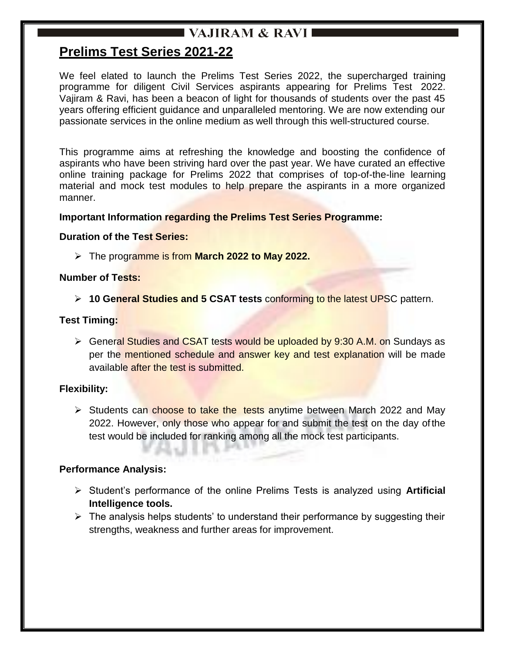## I VAJIRAM & RAVI I

## **Prelims Test Series 2021-22**

We feel elated to launch the Prelims Test Series 2022, the supercharged training programme for diligent Civil Services aspirants appearing for Prelims Test 2022. Vajiram & Ravi, has been a beacon of light for thousands of students over the past 45 years offering efficient guidance and unparalleled mentoring. We are now extending our passionate services in the online medium as well through this well-structured course.

This programme aims at refreshing the knowledge and boosting the confidence of aspirants who have been striving hard over the past year. We have curated an effective online training package for Prelims 2022 that comprises of top-of-the-line learning material and mock test modules to help prepare the aspirants in a more organized manner.

#### **Important Information regarding the Prelims Test Series Programme:**

#### **Duration of the Test Series:**

The programme is from **March 2022 to May 2022.**

#### **Number of Tests:**

**10 General Studies and 5 CSAT tests** conforming to the latest UPSC pattern.

#### **Test Timing:**

Seneral Studies and CSAT tests would be uploaded by 9:30 A.M. on Sundays as per the mentioned schedule and answer key and test explanation will be made available after the test is submitted.

### **Flexibility:**

 $\triangleright$  Students can choose to take the tests anytime between March 2022 and May 2022. However, only those who appear for and submit the test on the day of the test would be included for ranking among all the mock test participants.

### **Performance Analysis:**

- Student's performance of the online Prelims Tests is analyzed using **Artificial Intelligence tools.**
- $\triangleright$  The analysis helps students' to understand their performance by suggesting their strengths, weakness and further areas for improvement.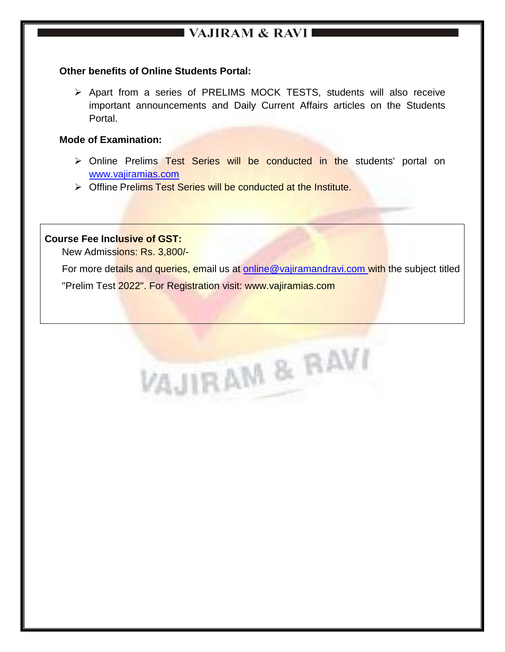# $\blacksquare$  VAJIRAM & RAVI $\blacksquare$

#### **Other benefits of Online Students Portal:**

 Apart from a series of PRELIMS MOCK TESTS, students will also receive important announcements and Daily Current Affairs articles on the Students Portal.

#### **Mode of Examination:**

- > Online Prelims Test Series will be conducted in the students' portal on [www.vajiramias.com](http://www.vajiramias.com/)
- > Offline Prelims Test Series will be conducted at the Institute.

#### **Course Fee Inclusive of GST:**

New Admissions: Rs. 3,800/-

For more details and queries, email us at [online@vajiramandravi.com](mailto:online@vajiramandravi.com) with the subject titled

"Prelim Test 2022". For Registration visit: [www.vajiramias.com](http://www.vajiramias.com/)